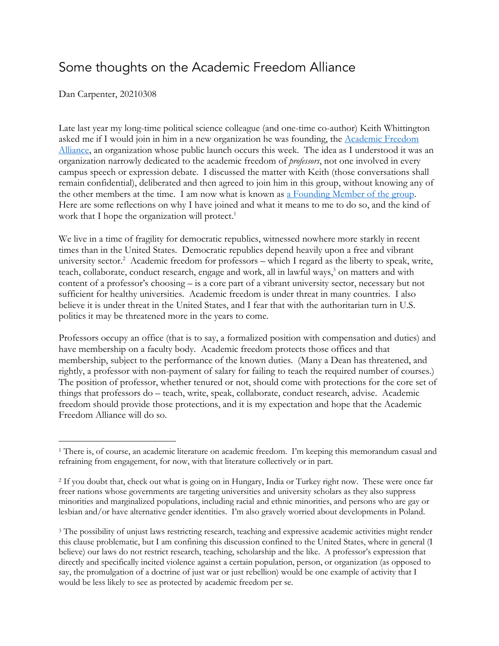## Some thoughts on the Academic Freedom Alliance

Dan Carpenter, 20210308

Late last year my long-time political science colleague (and one-time co-author) Keith Whittington asked me if I would join in him in a new organization he was founding, the Academic Freedom Alliance, an organization whose public launch occurs this week. The idea as I understood it was an organization narrowly dedicated to the academic freedom of *professors*, not one involved in every campus speech or expression debate. I discussed the matter with Keith (those conversations shall remain confidential), deliberated and then agreed to join him in this group, without knowing any of the other members at the time. I am now what is known as a Founding Member of the group. Here are some reflections on why I have joined and what it means to me to do so, and the kind of work that I hope the organization will protect.<sup>1</sup>

We live in a time of fragility for democratic republics, witnessed nowhere more starkly in recent times than in the United States. Democratic republics depend heavily upon a free and vibrant university sector.<sup>2</sup> Academic freedom for professors – which I regard as the liberty to speak, write, teach, collaborate, conduct research, engage and work, all in lawful ways,<sup>3</sup> on matters and with content of a professor's choosing – is a core part of a vibrant university sector, necessary but not sufficient for healthy universities. Academic freedom is under threat in many countries. I also believe it is under threat in the United States, and I fear that with the authoritarian turn in U.S. politics it may be threatened more in the years to come.

Professors occupy an office (that is to say, a formalized position with compensation and duties) and have membership on a faculty body. Academic freedom protects those offices and that membership, subject to the performance of the known duties. (Many a Dean has threatened, and rightly, a professor with non-payment of salary for failing to teach the required number of courses.) The position of professor, whether tenured or not, should come with protections for the core set of things that professors do – teach, write, speak, collaborate, conduct research, advise. Academic freedom should provide those protections, and it is my expectation and hope that the Academic Freedom Alliance will do so.

<sup>1</sup> There is, of course, an academic literature on academic freedom. I'm keeping this memorandum casual and refraining from engagement, for now, with that literature collectively or in part.

<sup>2</sup> If you doubt that, check out what is going on in Hungary, India or Turkey right now. These were once far freer nations whose governments are targeting universities and university scholars as they also suppress minorities and marginalized populations, including racial and ethnic minorities, and persons who are gay or lesbian and/or have alternative gender identities. I'm also gravely worried about developments in Poland.

<sup>3</sup> The possibility of unjust laws restricting research, teaching and expressive academic activities might render this clause problematic, but I am confining this discussion confined to the United States, where in general (I believe) our laws do not restrict research, teaching, scholarship and the like. A professor's expression that directly and specifically incited violence against a certain population, person, or organization (as opposed to say, the promulgation of a doctrine of just war or just rebellion) would be one example of activity that I would be less likely to see as protected by academic freedom per se.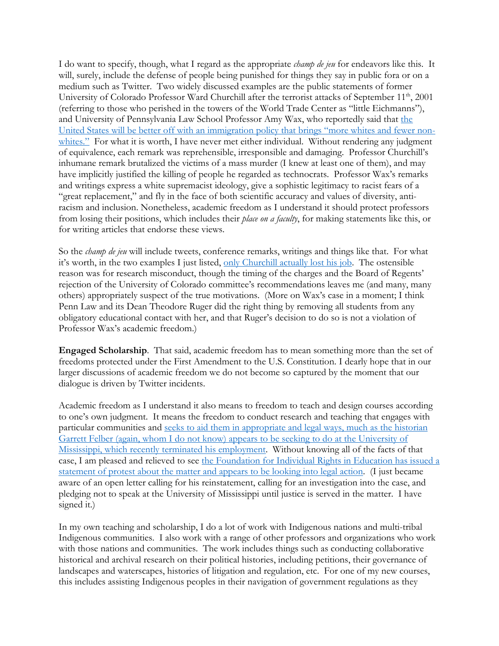I do want to specify, though, what I regard as the appropriate *champ de jeu* for endeavors like this. It will, surely, include the defense of people being punished for things they say in public fora or on a medium such as Twitter. Two widely discussed examples are the public statements of former University of Colorado Professor Ward Churchill after the terrorist attacks of September 11<sup>th</sup>, 2001 (referring to those who perished in the towers of the World Trade Center as "little Eichmanns"), and University of Pennsylvania Law School Professor Amy Wax, who reportedly said that the United States will be better off with an immigration policy that brings "more whites and fewer nonwhites." For what it is worth, I have never met either individual. Without rendering any judgment of equivalence, each remark was reprehensible, irresponsible and damaging. Professor Churchill's inhumane remark brutalized the victims of a mass murder (I knew at least one of them), and may have implicitly justified the killing of people he regarded as technocrats. Professor Wax's remarks and writings express a white supremacist ideology, give a sophistic legitimacy to racist fears of a "great replacement," and fly in the face of both scientific accuracy and values of diversity, antiracism and inclusion. Nonetheless, academic freedom as I understand it should protect professors from losing their positions, which includes their *place on a faculty*, for making statements like this, or for writing articles that endorse these views.

So the *champ de jeu* will include tweets, conference remarks, writings and things like that. For what it's worth, in the two examples I just listed, only Churchill actually lost his job. The ostensible reason was for research misconduct, though the timing of the charges and the Board of Regents' rejection of the University of Colorado committee's recommendations leaves me (and many, many others) appropriately suspect of the true motivations. (More on Wax's case in a moment; I think Penn Law and its Dean Theodore Ruger did the right thing by removing all students from any obligatory educational contact with her, and that Ruger's decision to do so is not a violation of Professor Wax's academic freedom.)

**Engaged Scholarship**. That said, academic freedom has to mean something more than the set of freedoms protected under the First Amendment to the U.S. Constitution. I dearly hope that in our larger discussions of academic freedom we do not become so captured by the moment that our dialogue is driven by Twitter incidents.

Academic freedom as I understand it also means to freedom to teach and design courses according to one's own judgment. It means the freedom to conduct research and teaching that engages with particular communities and seeks to aid them in appropriate and legal ways, much as the historian Garrett Felber (again, whom I do not know) appears to be seeking to do at the University of Mississippi, which recently terminated his employment. Without knowing all of the facts of that case, I am pleased and relieved to see the Foundation for Individual Rights in Education has issued a statement of protest about the matter and appears to be looking into legal action. (I just became aware of an open letter calling for his reinstatement, calling for an investigation into the case, and pledging not to speak at the University of Mississippi until justice is served in the matter. I have signed it.)

In my own teaching and scholarship, I do a lot of work with Indigenous nations and multi-tribal Indigenous communities. I also work with a range of other professors and organizations who work with those nations and communities. The work includes things such as conducting collaborative historical and archival research on their political histories, including petitions, their governance of landscapes and waterscapes, histories of litigation and regulation, etc. For one of my new courses, this includes assisting Indigenous peoples in their navigation of government regulations as they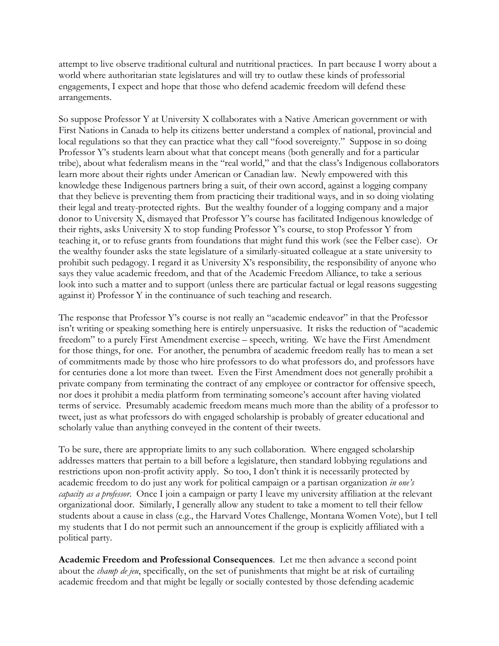attempt to live observe traditional cultural and nutritional practices. In part because I worry about a world where authoritarian state legislatures and will try to outlaw these kinds of professorial engagements, I expect and hope that those who defend academic freedom will defend these arrangements.

So suppose Professor Y at University X collaborates with a Native American government or with First Nations in Canada to help its citizens better understand a complex of national, provincial and local regulations so that they can practice what they call "food sovereignty." Suppose in so doing Professor Y's students learn about what that concept means (both generally and for a particular tribe), about what federalism means in the "real world," and that the class's Indigenous collaborators learn more about their rights under American or Canadian law. Newly empowered with this knowledge these Indigenous partners bring a suit, of their own accord, against a logging company that they believe is preventing them from practicing their traditional ways, and in so doing violating their legal and treaty-protected rights. But the wealthy founder of a logging company and a major donor to University X, dismayed that Professor Y's course has facilitated Indigenous knowledge of their rights, asks University X to stop funding Professor Y's course, to stop Professor Y from teaching it, or to refuse grants from foundations that might fund this work (see the Felber case). Or the wealthy founder asks the state legislature of a similarly-situated colleague at a state university to prohibit such pedagogy. I regard it as University X's responsibility, the responsibility of anyone who says they value academic freedom, and that of the Academic Freedom Alliance, to take a serious look into such a matter and to support (unless there are particular factual or legal reasons suggesting against it) Professor Y in the continuance of such teaching and research.

The response that Professor Y's course is not really an "academic endeavor" in that the Professor isn't writing or speaking something here is entirely unpersuasive. It risks the reduction of "academic freedom" to a purely First Amendment exercise – speech, writing. We have the First Amendment for those things, for one. For another, the penumbra of academic freedom really has to mean a set of commitments made by those who hire professors to do what professors do, and professors have for centuries done a lot more than tweet. Even the First Amendment does not generally prohibit a private company from terminating the contract of any employee or contractor for offensive speech, nor does it prohibit a media platform from terminating someone's account after having violated terms of service. Presumably academic freedom means much more than the ability of a professor to tweet, just as what professors do with engaged scholarship is probably of greater educational and scholarly value than anything conveyed in the content of their tweets.

To be sure, there are appropriate limits to any such collaboration. Where engaged scholarship addresses matters that pertain to a bill before a legislature, then standard lobbying regulations and restrictions upon non-profit activity apply. So too, I don't think it is necessarily protected by academic freedom to do just any work for political campaign or a partisan organization *in one's capacity as a professor*. Once I join a campaign or party I leave my university affiliation at the relevant organizational door. Similarly, I generally allow any student to take a moment to tell their fellow students about a cause in class (e.g., the Harvard Votes Challenge, Montana Women Vote), but I tell my students that I do not permit such an announcement if the group is explicitly affiliated with a political party.

**Academic Freedom and Professional Consequences**. Let me then advance a second point about the *champ de jeu*, specifically, on the set of punishments that might be at risk of curtailing academic freedom and that might be legally or socially contested by those defending academic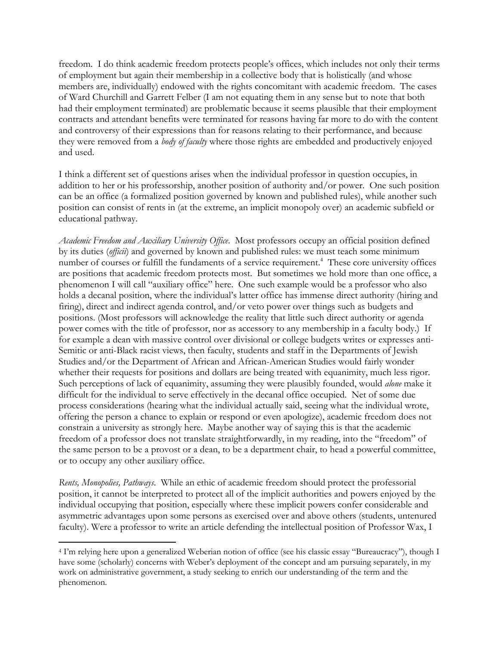freedom. I do think academic freedom protects people's offices, which includes not only their terms of employment but again their membership in a collective body that is holistically (and whose members are, individually) endowed with the rights concomitant with academic freedom. The cases of Ward Churchill and Garrett Felber (I am not equating them in any sense but to note that both had their employment terminated) are problematic because it seems plausible that their employment contracts and attendant benefits were terminated for reasons having far more to do with the content and controversy of their expressions than for reasons relating to their performance, and because they were removed from a *body of faculty* where those rights are embedded and productively enjoyed and used.

I think a different set of questions arises when the individual professor in question occupies, in addition to her or his professorship, another position of authority and/or power. One such position can be an office (a formalized position governed by known and published rules), while another such position can consist of rents in (at the extreme, an implicit monopoly over) an academic subfield or educational pathway.

*Academic Freedom and Auxiliary University Office*. Most professors occupy an official position defined by its duties (*officii*) and governed by known and published rules: we must teach some minimum number of courses or fulfill the fundaments of a service requirement. 4 These core university offices are positions that academic freedom protects most. But sometimes we hold more than one office, a phenomenon I will call "auxiliary office" here. One such example would be a professor who also holds a decanal position, where the individual's latter office has immense direct authority (hiring and firing), direct and indirect agenda control, and/or veto power over things such as budgets and positions. (Most professors will acknowledge the reality that little such direct authority or agenda power comes with the title of professor, nor as accessory to any membership in a faculty body.) If for example a dean with massive control over divisional or college budgets writes or expresses anti-Semitic or anti-Black racist views, then faculty, students and staff in the Departments of Jewish Studies and/or the Department of African and African-American Studies would fairly wonder whether their requests for positions and dollars are being treated with equanimity, much less rigor. Such perceptions of lack of equanimity, assuming they were plausibly founded, would *alone* make it difficult for the individual to serve effectively in the decanal office occupied. Net of some due process considerations (hearing what the individual actually said, seeing what the individual wrote, offering the person a chance to explain or respond or even apologize), academic freedom does not constrain a university as strongly here. Maybe another way of saying this is that the academic freedom of a professor does not translate straightforwardly, in my reading, into the "freedom" of the same person to be a provost or a dean, to be a department chair, to head a powerful committee, or to occupy any other auxiliary office.

*Rents, Monopolies, Pathways*. While an ethic of academic freedom should protect the professorial position, it cannot be interpreted to protect all of the implicit authorities and powers enjoyed by the individual occupying that position, especially where these implicit powers confer considerable and asymmetric advantages upon some persons as exercised over and above others (students, untenured faculty). Were a professor to write an article defending the intellectual position of Professor Wax, I

<sup>4</sup> I'm relying here upon a generalized Weberian notion of office (see his classic essay "Bureaucracy"), though I have some (scholarly) concerns with Weber's deployment of the concept and am pursuing separately, in my work on administrative government, a study seeking to enrich our understanding of the term and the phenomenon.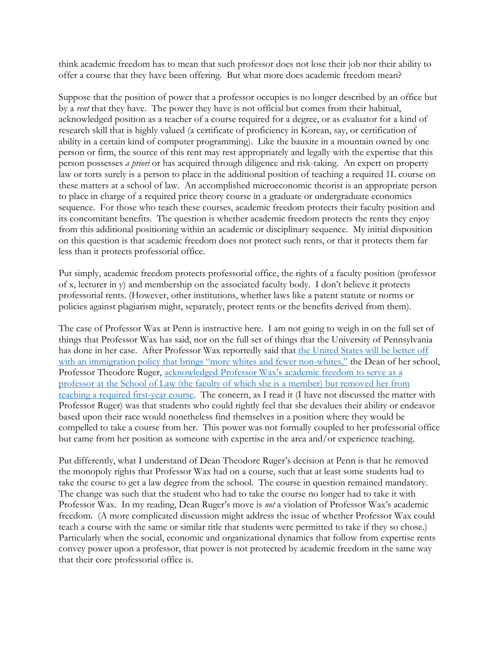think academic freedom has to mean that such professor does not lose their job nor their ability to offer a course that they have been offering. But what more does academic freedom mean?

Suppose that the position of power that a professor occupies is no longer described by an office but by a *rent* that they have. The power they have is not official but comes from their habitual, acknowledged position as a teacher of a course required for a degree, or as evaluator for a kind of research skill that is highly valued (a certificate of proficiency in Korean, say, or certification of ability in a certain kind of computer programming). Like the bauxite in a mountain owned by one person or firm, the source of this rent may rest appropriately and legally with the expertise that this person possesses *a priori* or has acquired through diligence and risk-taking. An expert on property law or torts surely is a person to place in the additional position of teaching a required 1L course on these matters at a school of law. An accomplished microeconomic theorist is an appropriate person to place in charge of a required price theory course in a graduate or undergraduate economics sequence. For those who teach these courses, academic freedom protects their faculty position and its concomitant benefits. The question is whether academic freedom protects the rents they enjoy from this additional positioning within an academic or disciplinary sequence. My initial disposition on this question is that academic freedom does not protect such rents, or that it protects them far less than it protects professorial office.

Put simply, academic freedom protects professorial office, the rights of a faculty position (professor of x, lecturer in y) and membership on the associated faculty body. I don't believe it protects professorial rents. (However, other institutions, whether laws like a patent statute or norms or policies against plagiarism might, separately, protect rents or the benefits derived from them).

The case of Professor Wax at Penn is instructive here. I am not going to weigh in on the full set of things that Professor Wax has said, nor on the full set of things that the University of Pennsylvania has done in her case. After Professor Wax reportedly said that the United States will be better off with an immigration policy that brings "more whites and fewer non-whites," the Dean of her school, Professor Theodore Ruger, acknowledged Professor Wax's academic freedom to serve as a professor at the School of Law (the faculty of which she is a member) but removed her from teaching a required first-year course. The concern, as I read it (I have not discussed the matter with Professor Ruger) was that students who could rightly feel that she devalues their ability or endeavor based upon their race would nonetheless find themselves in a position where they would be compelled to take a course from her. This power was not formally coupled to her professorial office but came from her position as someone with expertise in the area and/or experience teaching.

Put differently, what I understand of Dean Theodore Ruger's decision at Penn is that he removed the monopoly rights that Professor Wax had on a course, such that at least some students had to take the course to get a law degree from the school. The course in question remained mandatory. The change was such that the student who had to take the course no longer had to take it with Professor Wax. In my reading, Dean Ruger's move is *not* a violation of Professor Wax's academic freedom. (A more complicated discussion might address the issue of whether Professor Wax could teach a course with the same or similar title that students were permitted to take if they so chose.) Particularly when the social, economic and organizational dynamics that follow from expertise rents convey power upon a professor, that power is not protected by academic freedom in the same way that their core professorial office is.